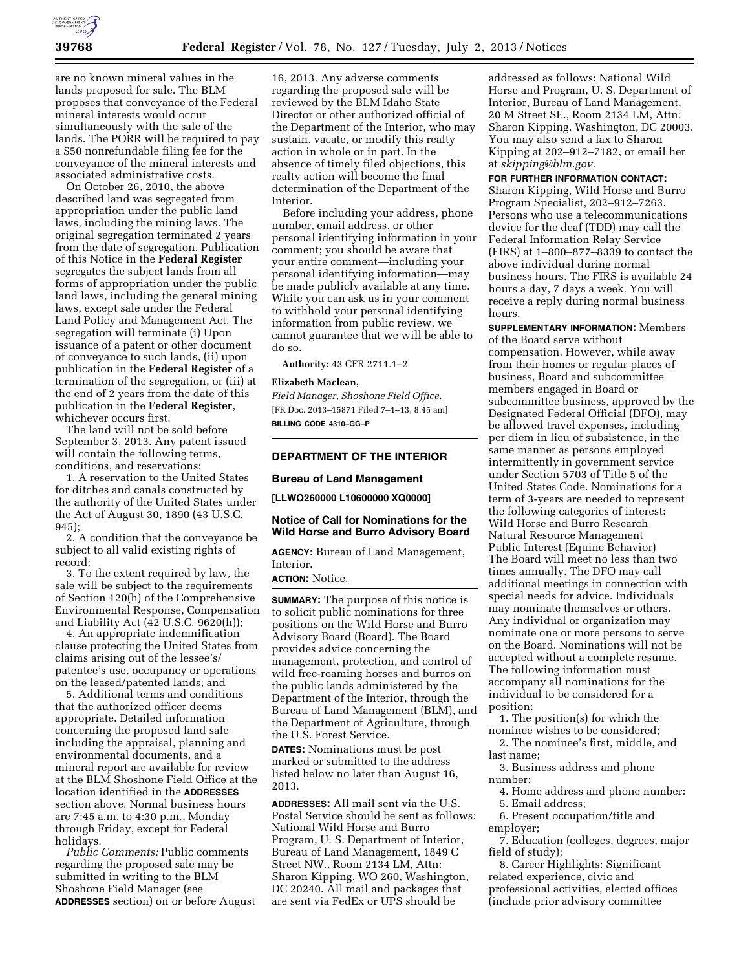

are no known mineral values in the lands proposed for sale. The BLM proposes that conveyance of the Federal mineral interests would occur simultaneously with the sale of the lands. The PORR will be required to pay a \$50 nonrefundable filing fee for the conveyance of the mineral interests and associated administrative costs.

On October 26, 2010, the above described land was segregated from appropriation under the public land laws, including the mining laws. The original segregation terminated 2 years from the date of segregation. Publication of this Notice in the **Federal Register**  segregates the subject lands from all forms of appropriation under the public land laws, including the general mining laws, except sale under the Federal Land Policy and Management Act. The segregation will terminate (i) Upon issuance of a patent or other document of conveyance to such lands, (ii) upon publication in the **Federal Register** of a termination of the segregation, or (iii) at the end of 2 years from the date of this publication in the **Federal Register**, whichever occurs first.

The land will not be sold before September 3, 2013. Any patent issued will contain the following terms, conditions, and reservations:

1. A reservation to the United States for ditches and canals constructed by the authority of the United States under the Act of August 30, 1890 (43 U.S.C. 945);

2. A condition that the conveyance be subject to all valid existing rights of record;

3. To the extent required by law, the sale will be subject to the requirements of Section 120(h) of the Comprehensive Environmental Response, Compensation and Liability Act (42 U.S.C. 9620(h));

4. An appropriate indemnification clause protecting the United States from claims arising out of the lessee's/ patentee's use, occupancy or operations on the leased/patented lands; and

5. Additional terms and conditions that the authorized officer deems appropriate. Detailed information concerning the proposed land sale including the appraisal, planning and environmental documents, and a mineral report are available for review at the BLM Shoshone Field Office at the location identified in the **ADDRESSES** section above. Normal business hours are 7:45 a.m. to 4:30 p.m., Monday through Friday, except for Federal holidays.

*Public Comments:* Public comments regarding the proposed sale may be submitted in writing to the BLM Shoshone Field Manager (see **ADDRESSES** section) on or before August

16, 2013. Any adverse comments regarding the proposed sale will be reviewed by the BLM Idaho State Director or other authorized official of the Department of the Interior, who may sustain, vacate, or modify this realty action in whole or in part. In the absence of timely filed objections, this realty action will become the final determination of the Department of the Interior.

Before including your address, phone number, email address, or other personal identifying information in your comment; you should be aware that your entire comment—including your personal identifying information—may be made publicly available at any time. While you can ask us in your comment to withhold your personal identifying information from public review, we cannot guarantee that we will be able to do so.

**Authority:** 43 CFR 2711.1–2

## **Elizabeth Maclean,**

*Field Manager, Shoshone Field Office.*  [FR Doc. 2013–15871 Filed 7–1–13; 8:45 am] **BILLING CODE 4310–GG–P** 

#### **DEPARTMENT OF THE INTERIOR**

#### **Bureau of Land Management**

**[LLWO260000 L10600000 XQ0000]** 

## **Notice of Call for Nominations for the Wild Horse and Burro Advisory Board**

**AGENCY:** Bureau of Land Management, **Interior** 

# **ACTION:** Notice.

**SUMMARY:** The purpose of this notice is to solicit public nominations for three positions on the Wild Horse and Burro Advisory Board (Board). The Board provides advice concerning the management, protection, and control of wild free-roaming horses and burros on the public lands administered by the Department of the Interior, through the Bureau of Land Management (BLM), and the Department of Agriculture, through the U.S. Forest Service.

**DATES:** Nominations must be post marked or submitted to the address listed below no later than August 16, 2013.

**ADDRESSES:** All mail sent via the U.S. Postal Service should be sent as follows: National Wild Horse and Burro Program, U. S. Department of Interior, Bureau of Land Management, 1849 C Street NW., Room 2134 LM, Attn: Sharon Kipping, WO 260, Washington, DC 20240. All mail and packages that are sent via FedEx or UPS should be

addressed as follows: National Wild Horse and Program, U. S. Department of Interior, Bureau of Land Management, 20 M Street SE., Room 2134 LM, Attn: Sharon Kipping, Washington, DC 20003. You may also send a fax to Sharon Kipping at 202–912–7182, or email her at *[skipping@blm.gov.](mailto:skipping@blm.gov)* 

#### **FOR FURTHER INFORMATION CONTACT:**

Sharon Kipping, Wild Horse and Burro Program Specialist, 202–912–7263. Persons who use a telecommunications device for the deaf (TDD) may call the Federal Information Relay Service (FIRS) at 1–800–877–8339 to contact the above individual during normal business hours. The FIRS is available 24 hours a day, 7 days a week. You will receive a reply during normal business hours.

**SUPPLEMENTARY INFORMATION:** Members of the Board serve without compensation. However, while away from their homes or regular places of business, Board and subcommittee members engaged in Board or subcommittee business, approved by the Designated Federal Official (DFO), may be allowed travel expenses, including per diem in lieu of subsistence, in the same manner as persons employed intermittently in government service under Section 5703 of Title 5 of the United States Code. Nominations for a term of 3-years are needed to represent the following categories of interest: Wild Horse and Burro Research Natural Resource Management Public Interest (Equine Behavior) The Board will meet no less than two times annually. The DFO may call additional meetings in connection with special needs for advice. Individuals may nominate themselves or others. Any individual or organization may nominate one or more persons to serve on the Board. Nominations will not be accepted without a complete resume. The following information must accompany all nominations for the individual to be considered for a position:

1. The position(s) for which the nominee wishes to be considered;

2. The nominee's first, middle, and last name;

3. Business address and phone number:

4. Home address and phone number:

5. Email address; 6. Present occupation/title and

employer;

7. Education (colleges, degrees, major field of study);

8. Career Highlights: Significant related experience, civic and professional activities, elected offices (include prior advisory committee